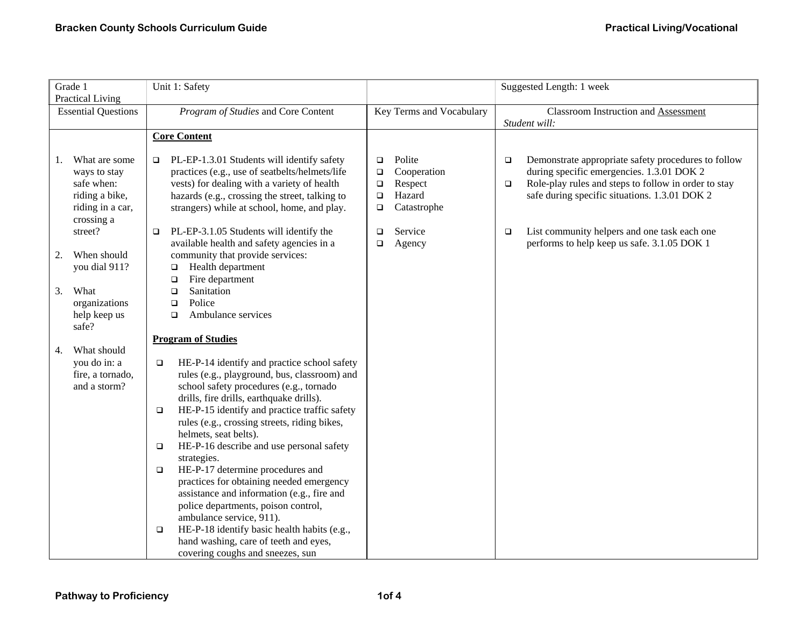| Grade 1<br><b>Practical Living</b>                                                                    | Unit 1: Safety                                                                                                                                                                                                                                                                                                                                                                                                                                                                                                                                                                                                  |                                                                                                             | Suggested Length: 1 week                                                                                                                                                                                                      |
|-------------------------------------------------------------------------------------------------------|-----------------------------------------------------------------------------------------------------------------------------------------------------------------------------------------------------------------------------------------------------------------------------------------------------------------------------------------------------------------------------------------------------------------------------------------------------------------------------------------------------------------------------------------------------------------------------------------------------------------|-------------------------------------------------------------------------------------------------------------|-------------------------------------------------------------------------------------------------------------------------------------------------------------------------------------------------------------------------------|
| <b>Essential Questions</b>                                                                            | Program of Studies and Core Content                                                                                                                                                                                                                                                                                                                                                                                                                                                                                                                                                                             | Key Terms and Vocabulary                                                                                    | <b>Classroom Instruction and Assessment</b><br>Student will:                                                                                                                                                                  |
|                                                                                                       | <b>Core Content</b>                                                                                                                                                                                                                                                                                                                                                                                                                                                                                                                                                                                             |                                                                                                             |                                                                                                                                                                                                                               |
| What are some<br>1.<br>ways to stay<br>safe when:<br>riding a bike,<br>riding in a car,<br>crossing a | PL-EP-1.3.01 Students will identify safety<br>o.<br>practices (e.g., use of seatbelts/helmets/life<br>vests) for dealing with a variety of health<br>hazards (e.g., crossing the street, talking to<br>strangers) while at school, home, and play.                                                                                                                                                                                                                                                                                                                                                              | Polite<br>$\Box$<br>Cooperation<br>$\Box$<br>Respect<br>$\Box$<br>Hazard<br>$\Box$<br>Catastrophe<br>$\Box$ | Demonstrate appropriate safety procedures to follow<br>$\Box$<br>during specific emergencies. 1.3.01 DOK 2<br>Role-play rules and steps to follow in order to stay<br>$\Box$<br>safe during specific situations. 1.3.01 DOK 2 |
| street?                                                                                               | PL-EP-3.1.05 Students will identify the<br>$\Box$<br>available health and safety agencies in a                                                                                                                                                                                                                                                                                                                                                                                                                                                                                                                  | Service<br>$\Box$<br>Agency<br>$\Box$                                                                       | List community helpers and one task each one<br>$\Box$<br>performs to help keep us safe. 3.1.05 DOK 1                                                                                                                         |
| When should<br>2.<br>you dial 911?                                                                    | community that provide services:<br>Health department<br>o<br>Fire department<br>$\Box$                                                                                                                                                                                                                                                                                                                                                                                                                                                                                                                         |                                                                                                             |                                                                                                                                                                                                                               |
| What<br>3.<br>organizations<br>help keep us<br>safe?                                                  | Sanitation<br>$\Box$<br>Police<br>$\Box$<br>Ambulance services<br>$\Box$                                                                                                                                                                                                                                                                                                                                                                                                                                                                                                                                        |                                                                                                             |                                                                                                                                                                                                                               |
|                                                                                                       | <b>Program of Studies</b>                                                                                                                                                                                                                                                                                                                                                                                                                                                                                                                                                                                       |                                                                                                             |                                                                                                                                                                                                                               |
| What should<br>4.<br>you do in: a<br>fire, a tornado,<br>and a storm?                                 | HE-P-14 identify and practice school safety<br>$\Box$<br>rules (e.g., playground, bus, classroom) and<br>school safety procedures (e.g., tornado<br>drills, fire drills, earthquake drills).<br>HE-P-15 identify and practice traffic safety<br>$\Box$<br>rules (e.g., crossing streets, riding bikes,<br>helmets, seat belts).<br>HE-P-16 describe and use personal safety<br>$\Box$<br>strategies.<br>HE-P-17 determine procedures and<br>$\Box$<br>practices for obtaining needed emergency<br>assistance and information (e.g., fire and<br>police departments, poison control,<br>ambulance service, 911). |                                                                                                             |                                                                                                                                                                                                                               |
|                                                                                                       | HE-P-18 identify basic health habits (e.g.,<br>$\Box$<br>hand washing, care of teeth and eyes,<br>covering coughs and sneezes, sun                                                                                                                                                                                                                                                                                                                                                                                                                                                                              |                                                                                                             |                                                                                                                                                                                                                               |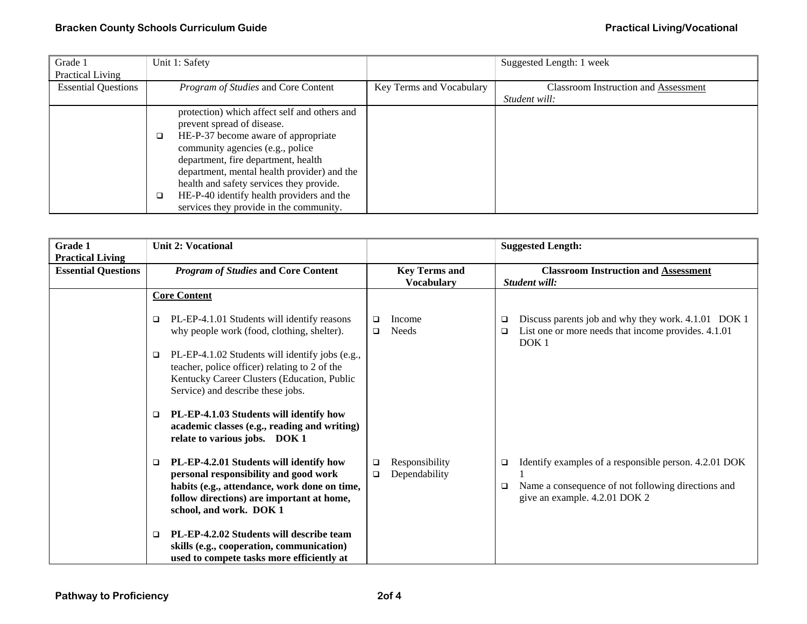| Grade 1                    | Unit 1: Safety                                                             |                          | Suggested Length: 1 week                    |
|----------------------------|----------------------------------------------------------------------------|--------------------------|---------------------------------------------|
| Practical Living           |                                                                            |                          |                                             |
| <b>Essential Questions</b> | Program of Studies and Core Content                                        | Key Terms and Vocabulary | <b>Classroom Instruction and Assessment</b> |
|                            |                                                                            |                          | Student will:                               |
|                            | protection) which affect self and others and<br>prevent spread of disease. |                          |                                             |
|                            | HE-P-37 become aware of appropriate<br>$\Box$                              |                          |                                             |
|                            | community agencies (e.g., police<br>department, fire department, health    |                          |                                             |
|                            | department, mental health provider) and the                                |                          |                                             |
|                            | health and safety services they provide.                                   |                          |                                             |
|                            | HE-P-40 identify health providers and the<br>$\Box$                        |                          |                                             |
|                            | services they provide in the community.                                    |                          |                                             |

| Grade 1<br><b>Practical Living</b> | <b>Unit 2: Vocational</b>                                                                                                                                                                                     |                                                     | <b>Suggested Length:</b>                                                                                                                               |
|------------------------------------|---------------------------------------------------------------------------------------------------------------------------------------------------------------------------------------------------------------|-----------------------------------------------------|--------------------------------------------------------------------------------------------------------------------------------------------------------|
| <b>Essential Questions</b>         | <b>Program of Studies and Core Content</b>                                                                                                                                                                    | <b>Key Terms and</b><br><b>Vocabulary</b>           | <b>Classroom Instruction and Assessment</b><br>Student will:                                                                                           |
|                                    | <b>Core Content</b>                                                                                                                                                                                           |                                                     |                                                                                                                                                        |
|                                    | PL-EP-4.1.01 Students will identify reasons<br>$\Box$<br>why people work (food, clothing, shelter).                                                                                                           | Income<br>$\Box$<br><b>Needs</b><br>◻               | Discuss parents job and why they work. 4.1.01 DOK 1<br>❏<br>List one or more needs that income provides. 4.1.01<br>$\Box$<br>DOK <sub>1</sub>          |
|                                    | PL-EP-4.1.02 Students will identify jobs (e.g.,<br>$\Box$<br>teacher, police officer) relating to 2 of the<br>Kentucky Career Clusters (Education, Public<br>Service) and describe these jobs.                |                                                     |                                                                                                                                                        |
|                                    | PL-EP-4.1.03 Students will identify how<br>□<br>academic classes (e.g., reading and writing)<br>relate to various jobs. DOK 1                                                                                 |                                                     |                                                                                                                                                        |
|                                    | PL-EP-4.2.01 Students will identify how<br>□<br>personal responsibility and good work<br>habits (e.g., attendance, work done on time,<br>follow directions) are important at home,<br>school, and work. DOK 1 | Responsibility<br>$\Box$<br>Dependability<br>$\Box$ | Identify examples of a responsible person. 4.2.01 DOK<br>❏<br>Name a consequence of not following directions and<br>□<br>give an example. 4.2.01 DOK 2 |
|                                    | PL-EP-4.2.02 Students will describe team<br>□<br>skills (e.g., cooperation, communication)<br>used to compete tasks more efficiently at                                                                       |                                                     |                                                                                                                                                        |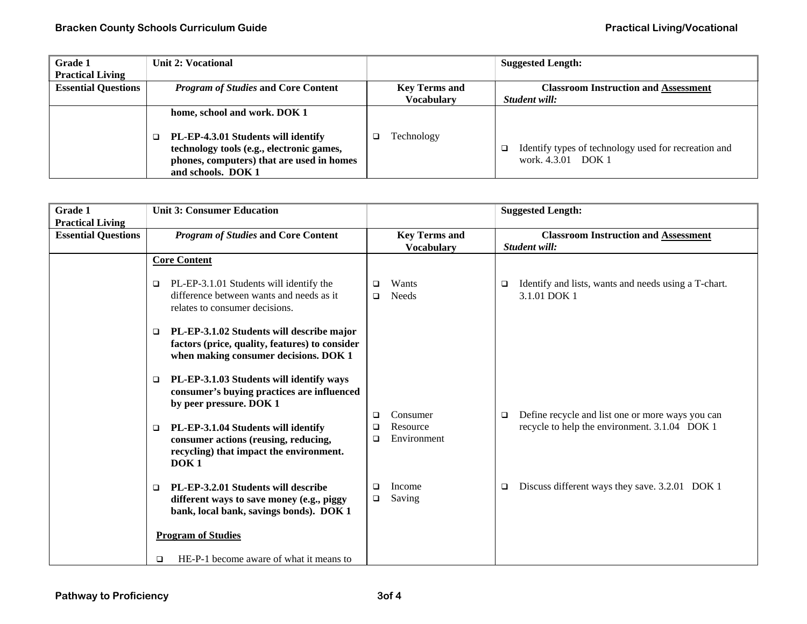| <b>Grade 1</b>             | Unit 2: Vocational                                                                                                                                  |                      | <b>Suggested Length:</b>                                                        |
|----------------------------|-----------------------------------------------------------------------------------------------------------------------------------------------------|----------------------|---------------------------------------------------------------------------------|
| <b>Practical Living</b>    |                                                                                                                                                     |                      |                                                                                 |
| <b>Essential Questions</b> | <b>Program of Studies and Core Content</b>                                                                                                          | <b>Key Terms and</b> | <b>Classroom Instruction and Assessment</b>                                     |
|                            |                                                                                                                                                     | <b>Vocabulary</b>    | Student will:                                                                   |
|                            | home, school and work. DOK 1                                                                                                                        |                      |                                                                                 |
|                            | PL-EP-4.3.01 Students will identify<br>technology tools (e.g., electronic games,<br>phones, computers) that are used in homes<br>and schools. DOK 1 | Technology           | Identify types of technology used for recreation and<br>□<br>work. 4.3.01 DOK 1 |

| <b>Grade 1</b><br><b>Practical Living</b> | <b>Unit 3: Consumer Education</b>                                                                                                                    |                                                              | <b>Suggested Length:</b>                                                                                    |
|-------------------------------------------|------------------------------------------------------------------------------------------------------------------------------------------------------|--------------------------------------------------------------|-------------------------------------------------------------------------------------------------------------|
| <b>Essential Questions</b>                | <b>Program of Studies and Core Content</b>                                                                                                           | <b>Key Terms and</b><br><b>Vocabulary</b>                    | <b>Classroom Instruction and Assessment</b><br>Student will:                                                |
|                                           | <b>Core Content</b>                                                                                                                                  |                                                              |                                                                                                             |
|                                           | PL-EP-3.1.01 Students will identify the<br>□<br>difference between wants and needs as it<br>relates to consumer decisions.                           | Wants<br>$\Box$<br><b>Needs</b><br>$\Box$                    | Identify and lists, wants and needs using a T-chart.<br>□<br>3.1.01 DOK 1                                   |
|                                           | PL-EP-3.1.02 Students will describe major<br>$\Box$<br>factors (price, quality, features) to consider<br>when making consumer decisions. DOK 1       |                                                              |                                                                                                             |
|                                           | PL-EP-3.1.03 Students will identify ways<br>$\Box$<br>consumer's buying practices are influenced<br>by peer pressure. DOK 1                          |                                                              |                                                                                                             |
|                                           | PL-EP-3.1.04 Students will identify<br>$\Box$<br>consumer actions (reusing, reducing,<br>recycling) that impact the environment.<br>DOK <sub>1</sub> | Consumer<br>$\Box$<br>Resource<br>$\Box$<br>Environment<br>□ | Define recycle and list one or more ways you can<br>$\Box$<br>recycle to help the environment. 3.1.04 DOK 1 |
|                                           | PL-EP-3.2.01 Students will describe<br>$\Box$<br>different ways to save money (e.g., piggy<br>bank, local bank, savings bonds). DOK 1                | Income<br>$\Box$<br>Saving<br>$\Box$                         | Discuss different ways they save. 3.2.01 DOK 1<br>□                                                         |
|                                           | <b>Program of Studies</b>                                                                                                                            |                                                              |                                                                                                             |
|                                           | HE-P-1 become aware of what it means to<br>□                                                                                                         |                                                              |                                                                                                             |